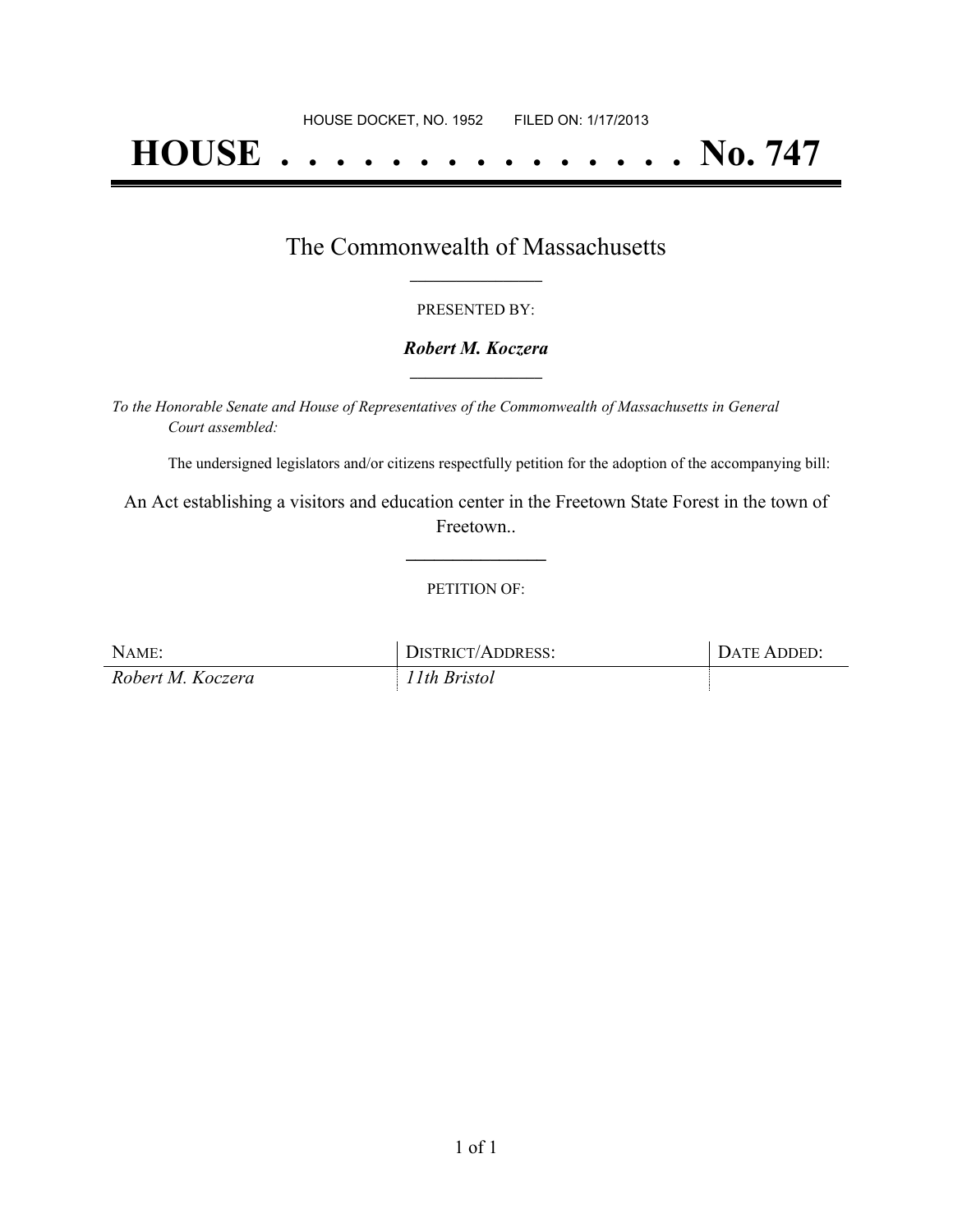# **HOUSE . . . . . . . . . . . . . . . No. 747**

## The Commonwealth of Massachusetts **\_\_\_\_\_\_\_\_\_\_\_\_\_\_\_\_\_**

#### PRESENTED BY:

#### *Robert M. Koczera* **\_\_\_\_\_\_\_\_\_\_\_\_\_\_\_\_\_**

*To the Honorable Senate and House of Representatives of the Commonwealth of Massachusetts in General Court assembled:*

The undersigned legislators and/or citizens respectfully petition for the adoption of the accompanying bill:

An Act establishing a visitors and education center in the Freetown State Forest in the town of Freetown..

**\_\_\_\_\_\_\_\_\_\_\_\_\_\_\_**

#### PETITION OF:

| NAME:             | DISTRICT/ADDRESS: | DATE ADDED: |
|-------------------|-------------------|-------------|
| Robert M. Koczera | 11th Bristol      |             |